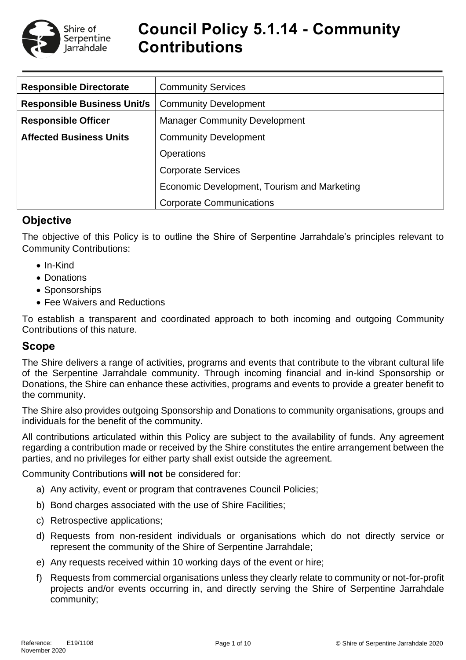

# **Council Policy 5.1.14 - Community Contributions**

| <b>Responsible Directorate</b>     | <b>Community Services</b>                   |  |  |
|------------------------------------|---------------------------------------------|--|--|
| <b>Responsible Business Unit/s</b> | <b>Community Development</b>                |  |  |
| <b>Responsible Officer</b>         | <b>Manager Community Development</b>        |  |  |
| <b>Affected Business Units</b>     | <b>Community Development</b>                |  |  |
|                                    | <b>Operations</b>                           |  |  |
|                                    | <b>Corporate Services</b>                   |  |  |
|                                    | Economic Development, Tourism and Marketing |  |  |
|                                    | <b>Corporate Communications</b>             |  |  |

# **Objective**

The objective of this Policy is to outline the Shire of Serpentine Jarrahdale's principles relevant to Community Contributions:

- In-Kind
- Donations
- Sponsorships
- Fee Waivers and Reductions

To establish a transparent and coordinated approach to both incoming and outgoing Community Contributions of this nature.

# **Scope**

The Shire delivers a range of activities, programs and events that contribute to the vibrant cultural life of the Serpentine Jarrahdale community. Through incoming financial and in-kind Sponsorship or Donations, the Shire can enhance these activities, programs and events to provide a greater benefit to the community.

The Shire also provides outgoing Sponsorship and Donations to community organisations, groups and individuals for the benefit of the community.

All contributions articulated within this Policy are subject to the availability of funds. Any agreement regarding a contribution made or received by the Shire constitutes the entire arrangement between the parties, and no privileges for either party shall exist outside the agreement.

Community Contributions **will not** be considered for:

- a) Any activity, event or program that contravenes Council Policies;
- b) Bond charges associated with the use of Shire Facilities;
- c) Retrospective applications;
- d) Requests from non-resident individuals or organisations which do not directly service or represent the community of the Shire of Serpentine Jarrahdale;
- e) Any requests received within 10 working days of the event or hire;
- f) Requests from commercial organisations unless they clearly relate to community or not-for-profit projects and/or events occurring in, and directly serving the Shire of Serpentine Jarrahdale community;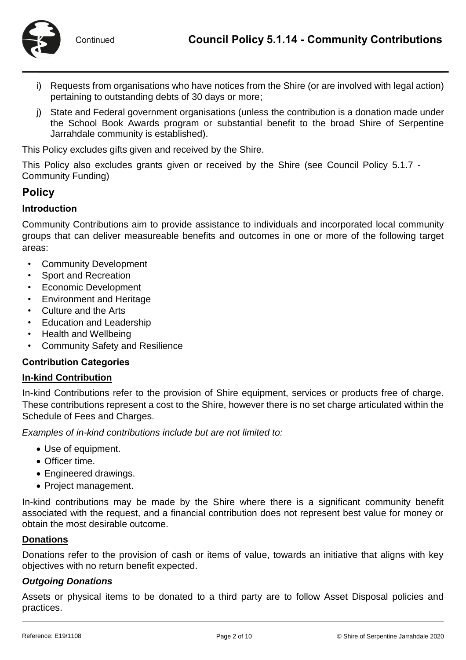- i) Requests from organisations who have notices from the Shire (or are involved with legal action) pertaining to outstanding debts of 30 days or more;
- j) State and Federal government organisations (unless the contribution is a donation made under the School Book Awards program or substantial benefit to the broad Shire of Serpentine Jarrahdale community is established).

This Policy excludes gifts given and received by the Shire.

This Policy also excludes grants given or received by the Shire (see Council Policy 5.1.7 - Community Funding)

# **Policy**

# **Introduction**

Community Contributions aim to provide assistance to individuals and incorporated local community groups that can deliver measureable benefits and outcomes in one or more of the following target areas:

- Community Development
- Sport and Recreation
- Economic Development
- Environment and Heritage
- Culture and the Arts
- Education and Leadership
- Health and Wellbeing
- Community Safety and Resilience

#### **Contribution Categories**

#### **In-kind Contribution**

In-kind Contributions refer to the provision of Shire equipment, services or products free of charge. These contributions represent a cost to the Shire, however there is no set charge articulated within the Schedule of Fees and Charges.

*Examples of in-kind contributions include but are not limited to:*

- Use of equipment.
- Officer time.
- Engineered drawings.
- Project management.

In-kind contributions may be made by the Shire where there is a significant community benefit associated with the request, and a financial contribution does not represent best value for money or obtain the most desirable outcome.

#### **Donations**

Donations refer to the provision of cash or items of value, towards an initiative that aligns with key objectives with no return benefit expected.

# *Outgoing Donations*

Assets or physical items to be donated to a third party are to follow Asset Disposal policies and practices.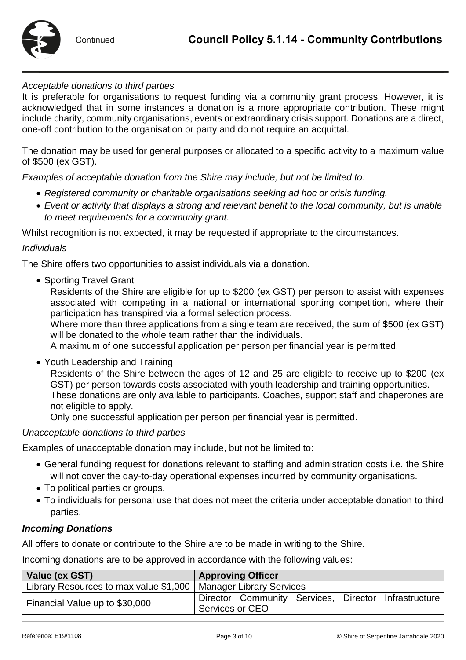

## *Acceptable donations to third parties*

It is preferable for organisations to request funding via a community grant process. However, it is acknowledged that in some instances a donation is a more appropriate contribution. These might include charity, community organisations, events or extraordinary crisis support. Donations are a direct, one-off contribution to the organisation or party and do not require an acquittal.

The donation may be used for general purposes or allocated to a specific activity to a maximum value of \$500 (ex GST).

*Examples of acceptable donation from the Shire may include, but not be limited to:*

- *Registered community or charitable organisations seeking ad hoc or crisis funding.*
- *Event or activity that displays a strong and relevant benefit to the local community, but is unable to meet requirements for a community grant.*

Whilst recognition is not expected, it may be requested if appropriate to the circumstances.

#### *Individuals*

The Shire offers two opportunities to assist individuals via a donation.

• Sporting Travel Grant

Residents of the Shire are eligible for up to \$200 (ex GST) per person to assist with expenses associated with competing in a national or international sporting competition, where their participation has transpired via a formal selection process.

Where more than three applications from a single team are received, the sum of \$500 (ex GST) will be donated to the whole team rather than the individuals.

A maximum of one successful application per person per financial year is permitted.

• Youth Leadership and Training

Residents of the Shire between the ages of 12 and 25 are eligible to receive up to \$200 (ex GST) per person towards costs associated with youth leadership and training opportunities. These donations are only available to participants. Coaches, support staff and chaperones are not eligible to apply.

Only one successful application per person per financial year is permitted.

#### *Unacceptable donations to third parties*

Examples of unacceptable donation may include, but not be limited to:

- General funding request for donations relevant to staffing and administration costs i.e. the Shire will not cover the day-to-day operational expenses incurred by community organisations.
- To political parties or groups.
- To individuals for personal use that does not meet the criteria under acceptable donation to third parties.

# *Incoming Donations*

All offers to donate or contribute to the Shire are to be made in writing to the Shire.

Incoming donations are to be approved in accordance with the following values:

| Value (ex GST)                                                    | <b>Approving Officer</b>                             |  |  |
|-------------------------------------------------------------------|------------------------------------------------------|--|--|
| Library Resources to max value \$1,000   Manager Library Services |                                                      |  |  |
|                                                                   | Director Community Services, Director Infrastructure |  |  |
| Financial Value up to \$30,000                                    | Services or CEO                                      |  |  |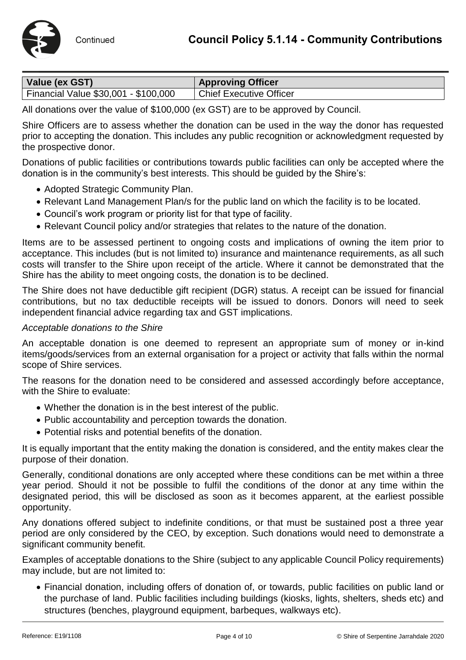

| Value (ex GST)                       | <b>Approving Officer</b>       |
|--------------------------------------|--------------------------------|
| Financial Value \$30,001 - \$100,000 | <b>Chief Executive Officer</b> |

All donations over the value of \$100,000 (ex GST) are to be approved by Council.

Shire Officers are to assess whether the donation can be used in the way the donor has requested prior to accepting the donation. This includes any public recognition or acknowledgment requested by the prospective donor.

Donations of public facilities or contributions towards public facilities can only be accepted where the donation is in the community's best interests. This should be guided by the Shire's:

- Adopted Strategic Community Plan.
- Relevant Land Management Plan/s for the public land on which the facility is to be located.
- Council's work program or priority list for that type of facility.
- Relevant Council policy and/or strategies that relates to the nature of the donation.

Items are to be assessed pertinent to ongoing costs and implications of owning the item prior to acceptance. This includes (but is not limited to) insurance and maintenance requirements, as all such costs will transfer to the Shire upon receipt of the article. Where it cannot be demonstrated that the Shire has the ability to meet ongoing costs, the donation is to be declined.

The Shire does not have deductible gift recipient (DGR) status. A receipt can be issued for financial contributions, but no tax deductible receipts will be issued to donors. Donors will need to seek independent financial advice regarding tax and GST implications.

## *Acceptable donations to the Shire*

An acceptable donation is one deemed to represent an appropriate sum of money or in-kind items/goods/services from an external organisation for a project or activity that falls within the normal scope of Shire services.

The reasons for the donation need to be considered and assessed accordingly before acceptance, with the Shire to evaluate:

- Whether the donation is in the best interest of the public.
- Public accountability and perception towards the donation.
- Potential risks and potential benefits of the donation.

It is equally important that the entity making the donation is considered, and the entity makes clear the purpose of their donation.

Generally, conditional donations are only accepted where these conditions can be met within a three year period. Should it not be possible to fulfil the conditions of the donor at any time within the designated period, this will be disclosed as soon as it becomes apparent, at the earliest possible opportunity.

Any donations offered subject to indefinite conditions, or that must be sustained post a three year period are only considered by the CEO, by exception. Such donations would need to demonstrate a significant community benefit.

Examples of acceptable donations to the Shire (subject to any applicable Council Policy requirements) may include, but are not limited to:

 Financial donation, including offers of donation of, or towards, public facilities on public land or the purchase of land. Public facilities including buildings (kiosks, lights, shelters, sheds etc) and structures (benches, playground equipment, barbeques, walkways etc).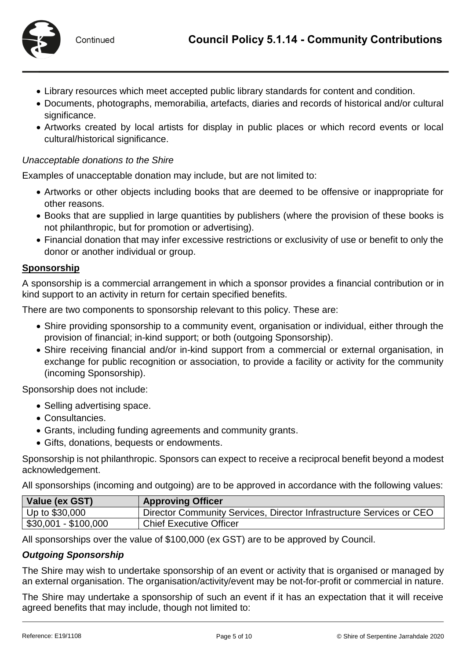

- Library resources which meet accepted public library standards for content and condition.
- Documents, photographs, memorabilia, artefacts, diaries and records of historical and/or cultural significance.
- Artworks created by local artists for display in public places or which record events or local cultural/historical significance.

# *Unacceptable donations to the Shire*

Examples of unacceptable donation may include, but are not limited to:

- Artworks or other objects including books that are deemed to be offensive or inappropriate for other reasons.
- Books that are supplied in large quantities by publishers (where the provision of these books is not philanthropic, but for promotion or advertising).
- Financial donation that may infer excessive restrictions or exclusivity of use or benefit to only the donor or another individual or group.

# **Sponsorship**

A sponsorship is a commercial arrangement in which a sponsor provides a financial contribution or in kind support to an activity in return for certain specified benefits.

There are two components to sponsorship relevant to this policy. These are:

- Shire providing sponsorship to a community event, organisation or individual, either through the provision of financial; in-kind support; or both (outgoing Sponsorship).
- Shire receiving financial and/or in-kind support from a commercial or external organisation, in exchange for public recognition or association, to provide a facility or activity for the community (incoming Sponsorship).

Sponsorship does not include:

- Selling advertising space.
- Consultancies.
- Grants, including funding agreements and community grants.
- Gifts, donations, bequests or endowments.

Sponsorship is not philanthropic. Sponsors can expect to receive a reciprocal benefit beyond a modest acknowledgement.

All sponsorships (incoming and outgoing) are to be approved in accordance with the following values:

| Value (ex GST)       | <b>Approving Officer</b>                                             |
|----------------------|----------------------------------------------------------------------|
| Up to \$30,000       | Director Community Services, Director Infrastructure Services or CEO |
| \$30,001 - \$100,000 | <b>Chief Executive Officer</b>                                       |

All sponsorships over the value of \$100,000 (ex GST) are to be approved by Council.

# *Outgoing Sponsorship*

The Shire may wish to undertake sponsorship of an event or activity that is organised or managed by an external organisation. The organisation/activity/event may be not-for-profit or commercial in nature.

The Shire may undertake a sponsorship of such an event if it has an expectation that it will receive agreed benefits that may include, though not limited to: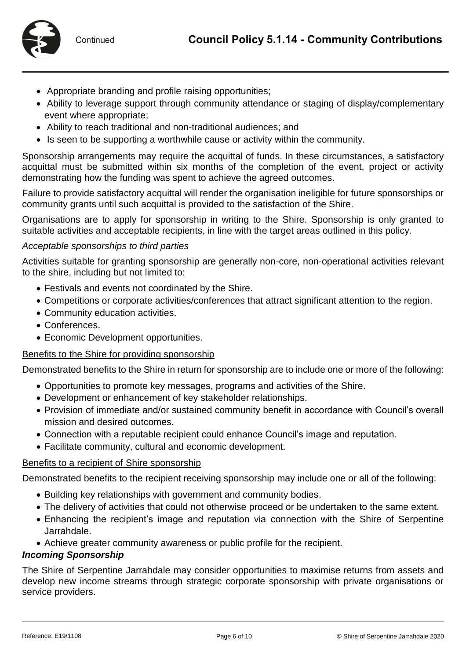

- Appropriate branding and profile raising opportunities;
- Ability to leverage support through community attendance or staging of display/complementary event where appropriate;
- Ability to reach traditional and non-traditional audiences; and
- Is seen to be supporting a worthwhile cause or activity within the community.

Sponsorship arrangements may require the acquittal of funds. In these circumstances, a satisfactory acquittal must be submitted within six months of the completion of the event, project or activity demonstrating how the funding was spent to achieve the agreed outcomes.

Failure to provide satisfactory acquittal will render the organisation ineligible for future sponsorships or community grants until such acquittal is provided to the satisfaction of the Shire.

Organisations are to apply for sponsorship in writing to the Shire. Sponsorship is only granted to suitable activities and acceptable recipients, in line with the target areas outlined in this policy.

## *Acceptable sponsorships to third parties*

Activities suitable for granting sponsorship are generally non-core, non-operational activities relevant to the shire, including but not limited to:

- Festivals and events not coordinated by the Shire.
- Competitions or corporate activities/conferences that attract significant attention to the region.
- Community education activities.
- Conferences.
- Economic Development opportunities.

#### Benefits to the Shire for providing sponsorship

Demonstrated benefits to the Shire in return for sponsorship are to include one or more of the following:

- Opportunities to promote key messages, programs and activities of the Shire.
- Development or enhancement of key stakeholder relationships.
- Provision of immediate and/or sustained community benefit in accordance with Council's overall mission and desired outcomes.
- Connection with a reputable recipient could enhance Council's image and reputation.
- Facilitate community, cultural and economic development.

#### Benefits to a recipient of Shire sponsorship

Demonstrated benefits to the recipient receiving sponsorship may include one or all of the following:

- Building key relationships with government and community bodies.
- The delivery of activities that could not otherwise proceed or be undertaken to the same extent.
- Enhancing the recipient's image and reputation via connection with the Shire of Serpentine Jarrahdale.
- Achieve greater community awareness or public profile for the recipient.

# *Incoming Sponsorship*

The Shire of Serpentine Jarrahdale may consider opportunities to maximise returns from assets and develop new income streams through strategic corporate sponsorship with private organisations or service providers.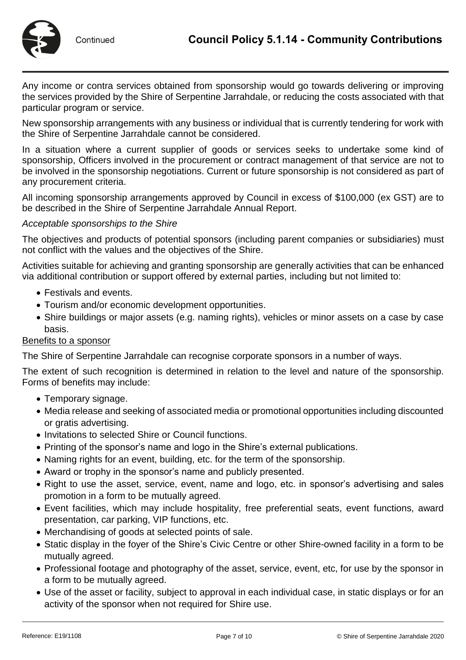

Any income or contra services obtained from sponsorship would go towards delivering or improving the services provided by the Shire of Serpentine Jarrahdale, or reducing the costs associated with that particular program or service.

New sponsorship arrangements with any business or individual that is currently tendering for work with the Shire of Serpentine Jarrahdale cannot be considered.

In a situation where a current supplier of goods or services seeks to undertake some kind of sponsorship, Officers involved in the procurement or contract management of that service are not to be involved in the sponsorship negotiations. Current or future sponsorship is not considered as part of any procurement criteria.

All incoming sponsorship arrangements approved by Council in excess of \$100,000 (ex GST) are to be described in the Shire of Serpentine Jarrahdale Annual Report.

# *Acceptable sponsorships to the Shire*

The objectives and products of potential sponsors (including parent companies or subsidiaries) must not conflict with the values and the objectives of the Shire.

Activities suitable for achieving and granting sponsorship are generally activities that can be enhanced via additional contribution or support offered by external parties, including but not limited to:

- Festivals and events.
- Tourism and/or economic development opportunities.
- Shire buildings or major assets (e.g. naming rights), vehicles or minor assets on a case by case basis.

# Benefits to a sponsor

The Shire of Serpentine Jarrahdale can recognise corporate sponsors in a number of ways.

The extent of such recognition is determined in relation to the level and nature of the sponsorship. Forms of benefits may include:

- Temporary signage.
- Media release and seeking of associated media or promotional opportunities including discounted or gratis advertising.
- Invitations to selected Shire or Council functions.
- Printing of the sponsor's name and logo in the Shire's external publications.
- Naming rights for an event, building, etc. for the term of the sponsorship.
- Award or trophy in the sponsor's name and publicly presented.
- Right to use the asset, service, event, name and logo, etc. in sponsor's advertising and sales promotion in a form to be mutually agreed.
- Event facilities, which may include hospitality, free preferential seats, event functions, award presentation, car parking, VIP functions, etc.
- Merchandising of goods at selected points of sale.
- Static display in the foyer of the Shire's Civic Centre or other Shire-owned facility in a form to be mutually agreed.
- Professional footage and photography of the asset, service, event, etc, for use by the sponsor in a form to be mutually agreed.
- Use of the asset or facility, subject to approval in each individual case, in static displays or for an activity of the sponsor when not required for Shire use.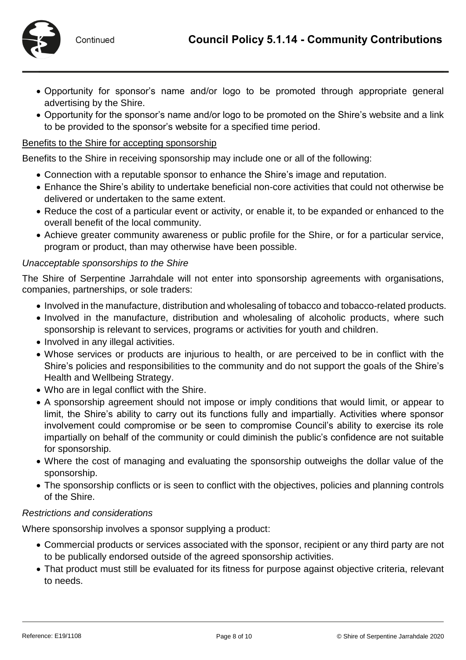

- Opportunity for sponsor's name and/or logo to be promoted through appropriate general advertising by the Shire.
- Opportunity for the sponsor's name and/or logo to be promoted on the Shire's website and a link to be provided to the sponsor's website for a specified time period.

# Benefits to the Shire for accepting sponsorship

Benefits to the Shire in receiving sponsorship may include one or all of the following:

- Connection with a reputable sponsor to enhance the Shire's image and reputation.
- Enhance the Shire's ability to undertake beneficial non-core activities that could not otherwise be delivered or undertaken to the same extent.
- Reduce the cost of a particular event or activity, or enable it, to be expanded or enhanced to the overall benefit of the local community.
- Achieve greater community awareness or public profile for the Shire, or for a particular service, program or product, than may otherwise have been possible.

## *Unacceptable sponsorships to the Shire*

The Shire of Serpentine Jarrahdale will not enter into sponsorship agreements with organisations, companies, partnerships, or sole traders:

- Involved in the manufacture, distribution and wholesaling of tobacco and tobacco-related products.
- Involved in the manufacture, distribution and wholesaling of alcoholic products, where such sponsorship is relevant to services, programs or activities for youth and children.
- Involved in any illegal activities.
- Whose services or products are injurious to health, or are perceived to be in conflict with the Shire's policies and responsibilities to the community and do not support the goals of the Shire's Health and Wellbeing Strategy.
- Who are in legal conflict with the Shire.
- A sponsorship agreement should not impose or imply conditions that would limit, or appear to limit, the Shire's ability to carry out its functions fully and impartially. Activities where sponsor involvement could compromise or be seen to compromise Council's ability to exercise its role impartially on behalf of the community or could diminish the public's confidence are not suitable for sponsorship.
- Where the cost of managing and evaluating the sponsorship outweighs the dollar value of the sponsorship.
- The sponsorship conflicts or is seen to conflict with the objectives, policies and planning controls of the Shire.

# *Restrictions and considerations*

Where sponsorship involves a sponsor supplying a product:

- Commercial products or services associated with the sponsor, recipient or any third party are not to be publically endorsed outside of the agreed sponsorship activities.
- That product must still be evaluated for its fitness for purpose against objective criteria, relevant to needs.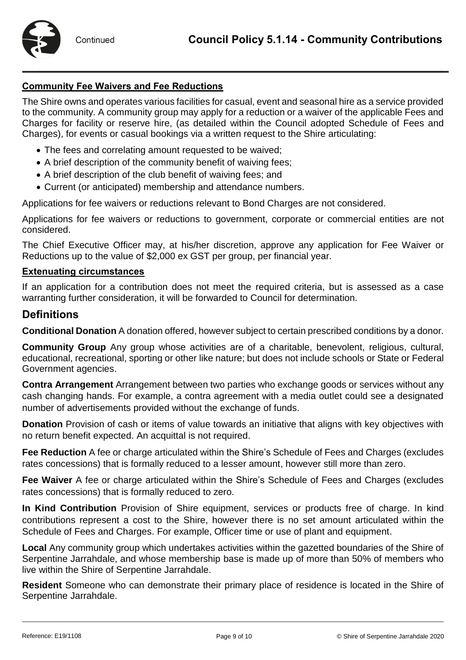# **Community Fee Waivers and Fee Reductions**

The Shire owns and operates various facilities for casual, event and seasonal hire as a service provided to the community. A community group may apply for a reduction or a waiver of the applicable Fees and Charges for facility or reserve hire, (as detailed within the Council adopted Schedule of Fees and Charges), for events or casual bookings via a written request to the Shire articulating:

- The fees and correlating amount requested to be waived;
- A brief description of the community benefit of waiving fees;
- A brief description of the club benefit of waiving fees; and
- Current (or anticipated) membership and attendance numbers.

Applications for fee waivers or reductions relevant to Bond Charges are not considered.

Applications for fee waivers or reductions to government, corporate or commercial entities are not considered.

The Chief Executive Officer may, at his/her discretion, approve any application for Fee Waiver or Reductions up to the value of \$2,000 ex GST per group, per financial year.

# **Extenuating circumstances**

If an application for a contribution does not meet the required criteria, but is assessed as a case warranting further consideration, it will be forwarded to Council for determination.

# **Definitions**

**Conditional Donation** A donation offered, however subject to certain prescribed conditions by a donor.

**Community Group** Any group whose activities are of a charitable, benevolent, religious, cultural, educational, recreational, sporting or other like nature; but does not include schools or State or Federal Government agencies.

**Contra Arrangement** Arrangement between two parties who exchange goods or services without any cash changing hands. For example, a contra agreement with a media outlet could see a designated number of advertisements provided without the exchange of funds.

**Donation** Provision of cash or items of value towards an initiative that aligns with key objectives with no return benefit expected. An acquittal is not required.

**Fee Reduction** A fee or charge articulated within the Shire's Schedule of Fees and Charges (excludes rates concessions) that is formally reduced to a lesser amount, however still more than zero.

**Fee Waiver** A fee or charge articulated within the Shire's Schedule of Fees and Charges (excludes rates concessions) that is formally reduced to zero.

**In Kind Contribution** Provision of Shire equipment, services or products free of charge. In kind contributions represent a cost to the Shire, however there is no set amount articulated within the Schedule of Fees and Charges. For example, Officer time or use of plant and equipment.

**Local** Any community group which undertakes activities within the gazetted boundaries of the Shire of Serpentine Jarrahdale, and whose membership base is made up of more than 50% of members who live within the Shire of Serpentine Jarrahdale.

**Resident** Someone who can demonstrate their primary place of residence is located in the Shire of Serpentine Jarrahdale.